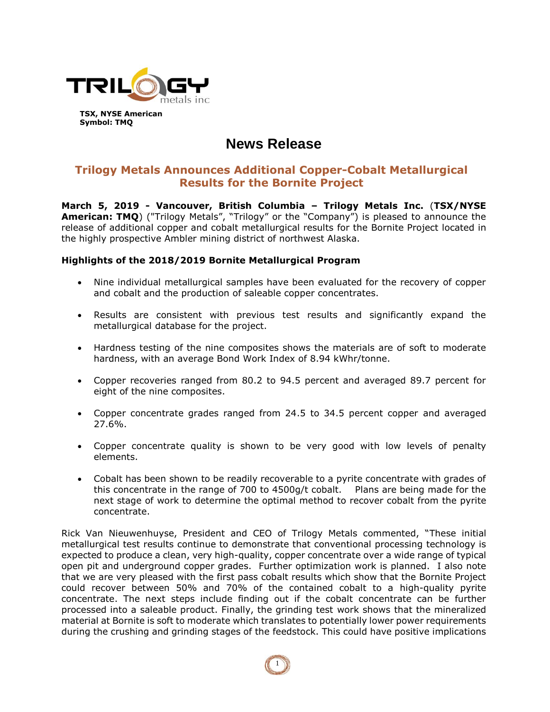

**TSX, NYSE American Symbol: TMQ**

# **News Release**

# **Trilogy Metals Announces Additional Copper-Cobalt Metallurgical Results for the Bornite Project**

**March 5, 2019 - Vancouver, British Columbia – Trilogy Metals Inc.** (**TSX/NYSE American: TMQ**) ("Trilogy Metals", "Trilogy" or the "Company") is pleased to announce the release of additional copper and cobalt metallurgical results for the Bornite Project located in the highly prospective Ambler mining district of northwest Alaska.

# **Highlights of the 2018/2019 Bornite Metallurgical Program**

- Nine individual metallurgical samples have been evaluated for the recovery of copper and cobalt and the production of saleable copper concentrates.
- Results are consistent with previous test results and significantly expand the metallurgical database for the project.
- Hardness testing of the nine composites shows the materials are of soft to moderate hardness, with an average Bond Work Index of 8.94 kWhr/tonne.
- Copper recoveries ranged from 80.2 to 94.5 percent and averaged 89.7 percent for eight of the nine composites.
- Copper concentrate grades ranged from 24.5 to 34.5 percent copper and averaged 27.6%.
- Copper concentrate quality is shown to be very good with low levels of penalty elements.
- Cobalt has been shown to be readily recoverable to a pyrite concentrate with grades of this concentrate in the range of 700 to 4500g/t cobalt. Plans are being made for the next stage of work to determine the optimal method to recover cobalt from the pyrite concentrate.

Rick Van Nieuwenhuyse, President and CEO of Trilogy Metals commented, "These initial metallurgical test results continue to demonstrate that conventional processing technology is expected to produce a clean, very high-quality, copper concentrate over a wide range of typical open pit and underground copper grades. Further optimization work is planned. I also note that we are very pleased with the first pass cobalt results which show that the Bornite Project could recover between 50% and 70% of the contained cobalt to a high-quality pyrite concentrate. The next steps include finding out if the cobalt concentrate can be further processed into a saleable product. Finally, the grinding test work shows that the mineralized material at Bornite is soft to moderate which translates to potentially lower power requirements during the crushing and grinding stages of the feedstock. This could have positive implications

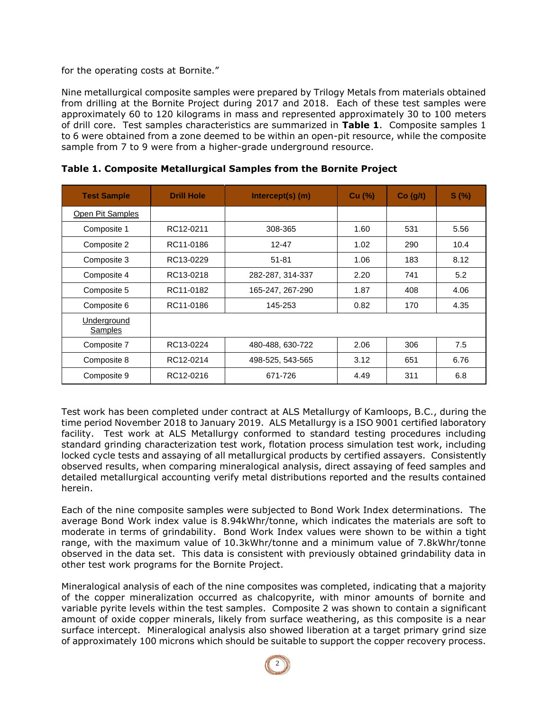for the operating costs at Bornite."

Nine metallurgical composite samples were prepared by Trilogy Metals from materials obtained from drilling at the Bornite Project during 2017 and 2018. Each of these test samples were approximately 60 to 120 kilograms in mass and represented approximately 30 to 100 meters of drill core. Test samples characteristics are summarized in **Table 1**. Composite samples 1 to 6 were obtained from a zone deemed to be within an open-pit resource, while the composite sample from 7 to 9 were from a higher-grade underground resource.

| <b>Test Sample</b>     | <b>Drill Hole</b> | $Intercept(s)$ (m) | Cu (%) | Co (g/t) | $S(\%)$ |
|------------------------|-------------------|--------------------|--------|----------|---------|
| Open Pit Samples       |                   |                    |        |          |         |
| Composite 1            | RC12-0211         | 308-365            | 1.60   | 531      | 5.56    |
| Composite 2            | RC11-0186         | 12-47              | 1.02   | 290      | 10.4    |
| Composite 3            | RC13-0229         | $51 - 81$          | 1.06   | 183      | 8.12    |
| Composite 4            | RC13-0218         | 282-287, 314-337   | 2.20   | 741      | 5.2     |
| Composite 5            | RC11-0182         | 165-247, 267-290   | 1.87   | 408      | 4.06    |
| Composite 6            | RC11-0186         | 145-253            | 0.82   | 170      | 4.35    |
| Underground<br>Samples |                   |                    |        |          |         |
| Composite 7            | RC13-0224         | 480-488, 630-722   | 2.06   | 306      | 7.5     |
| Composite 8            | RC12-0214         | 498-525, 543-565   | 3.12   | 651      | 6.76    |
| Composite 9            | RC12-0216         | 671-726            | 4.49   | 311      | 6.8     |

**Table 1. Composite Metallurgical Samples from the Bornite Project**

Test work has been completed under contract at ALS Metallurgy of Kamloops, B.C., during the time period November 2018 to January 2019. ALS Metallurgy is a ISO 9001 certified laboratory facility. Test work at ALS Metallurgy conformed to standard testing procedures including standard grinding characterization test work, flotation process simulation test work, including locked cycle tests and assaying of all metallurgical products by certified assayers. Consistently observed results, when comparing mineralogical analysis, direct assaying of feed samples and detailed metallurgical accounting verify metal distributions reported and the results contained herein.

Each of the nine composite samples were subjected to Bond Work Index determinations. The average Bond Work index value is 8.94kWhr/tonne, which indicates the materials are soft to moderate in terms of grindability. Bond Work Index values were shown to be within a tight range, with the maximum value of 10.3kWhr/tonne and a minimum value of 7.8kWhr/tonne observed in the data set. This data is consistent with previously obtained grindability data in other test work programs for the Bornite Project.

Mineralogical analysis of each of the nine composites was completed, indicating that a majority of the copper mineralization occurred as chalcopyrite, with minor amounts of bornite and variable pyrite levels within the test samples. Composite 2 was shown to contain a significant amount of oxide copper minerals, likely from surface weathering, as this composite is a near surface intercept. Mineralogical analysis also showed liberation at a target primary grind size of approximately 100 microns which should be suitable to support the copper recovery process.

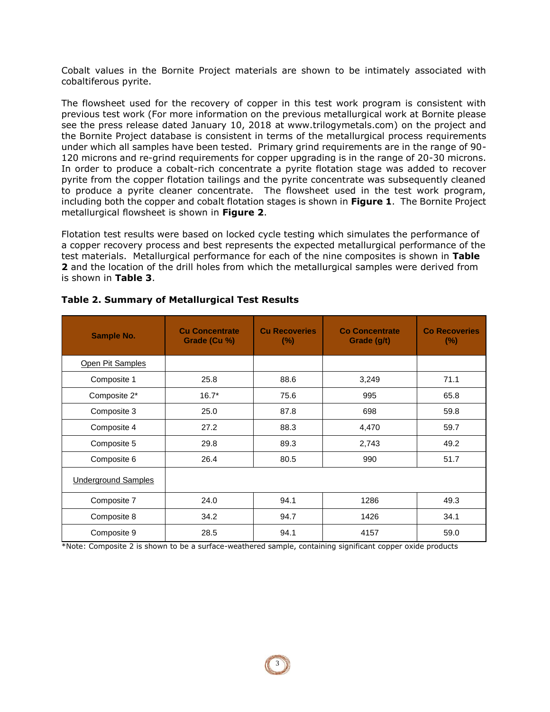Cobalt values in the Bornite Project materials are shown to be intimately associated with cobaltiferous pyrite.

The flowsheet used for the recovery of copper in this test work program is consistent with previous test work (For more information on the previous metallurgical work at Bornite please see the press release dated January 10, 2018 at www.trilogymetals.com) on the project and the Bornite Project database is consistent in terms of the metallurgical process requirements under which all samples have been tested. Primary grind requirements are in the range of 90- 120 microns and re-grind requirements for copper upgrading is in the range of 20-30 microns. In order to produce a cobalt-rich concentrate a pyrite flotation stage was added to recover pyrite from the copper flotation tailings and the pyrite concentrate was subsequently cleaned to produce a pyrite cleaner concentrate. The flowsheet used in the test work program, including both the copper and cobalt flotation stages is shown in **Figure 1**. The Bornite Project metallurgical flowsheet is shown in **Figure 2**.

Flotation test results were based on locked cycle testing which simulates the performance of a copper recovery process and best represents the expected metallurgical performance of the test materials. Metallurgical performance for each of the nine composites is shown in **Table 2** and the location of the drill holes from which the metallurgical samples were derived from is shown in **Table 3**.

| <b>Sample No.</b>          | <b>Cu Concentrate</b><br>Grade (Cu %) | <b>Cu Recoveries</b><br>$(\% )$ | <b>Co Concentrate</b><br>Grade (g/t) | <b>Co Recoveries</b><br>$(\% )$ |
|----------------------------|---------------------------------------|---------------------------------|--------------------------------------|---------------------------------|
| Open Pit Samples           |                                       |                                 |                                      |                                 |
| Composite 1                | 25.8                                  | 88.6                            | 3,249                                | 71.1                            |
| Composite 2*               | $16.7*$                               | 75.6                            | 995                                  | 65.8                            |
| Composite 3                | 25.0                                  | 87.8                            | 698                                  | 59.8                            |
| Composite 4                | 27.2                                  | 88.3                            | 4,470                                | 59.7                            |
| Composite 5                | 29.8                                  | 89.3                            | 2,743                                | 49.2                            |
| Composite 6                | 26.4                                  | 80.5                            | 990                                  | 51.7                            |
| <b>Underground Samples</b> |                                       |                                 |                                      |                                 |
| Composite 7                | 24.0                                  | 94.1<br>1286                    |                                      | 49.3                            |
| Composite 8                | 34.2                                  | 94.7                            | 1426                                 | 34.1                            |
| Composite 9                | 28.5                                  | 94.1                            | 4157                                 | 59.0                            |

#### **Table 2. Summary of Metallurgical Test Results**

\*Note: Composite 2 is shown to be a surface-weathered sample, containing significant copper oxide products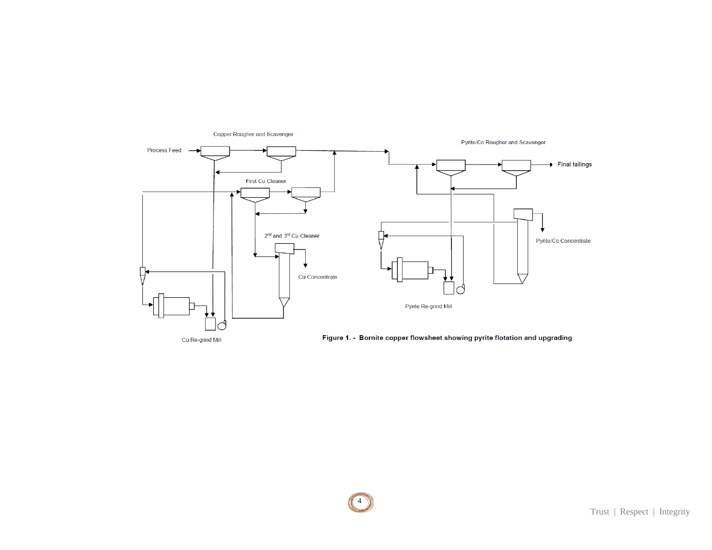

l 4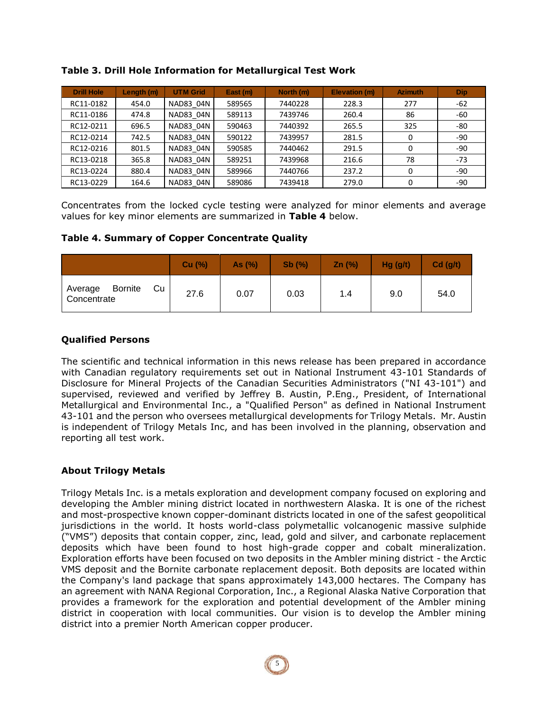| <b>Drill Hole</b> | Length (m) | <b>UTM Grid</b> | East (m) | North (m) | Elevation (m) | <b>Azimuth</b> | <b>Dip</b> |
|-------------------|------------|-----------------|----------|-----------|---------------|----------------|------------|
| RC11-0182         | 454.0      | NAD83 04N       | 589565   | 7440228   | 228.3         | 277            | $-62$      |
| RC11-0186         | 474.8      | NAD83 04N       | 589113   | 7439746   | 260.4         | 86             | -60        |
| RC12-0211         | 696.5      | NAD83 04N       | 590463   | 7440392   | 265.5         | 325            | -80        |
| RC12-0214         | 742.5      | NAD83 04N       | 590122   | 7439957   | 281.5         |                | $-90$      |
| RC12-0216         | 801.5      | NAD83 04N       | 590585   | 7440462   | 291.5         |                | $-90$      |
| RC13-0218         | 365.8      | NAD83 04N       | 589251   | 7439968   | 216.6         | 78             | $-73$      |
| RC13-0224         | 880.4      | NAD83 04N       | 589966   | 7440766   | 237.2         |                | -90        |
| RC13-0229         | 164.6      | NAD83 04N       | 589086   | 7439418   | 279.0         |                | $-90$      |

### **Table 3. Drill Hole Information for Metallurgical Test Work**

Concentrates from the locked cycle testing were analyzed for minor elements and average values for key minor elements are summarized in **Table 4** below.

**Table 4. Summary of Copper Concentrate Quality**

|                                                | <b>Cu</b> (%) | As $(\%)$ | $Sb$ (%) | $Zn$ (%) | Hg(g/t) | Cd(gh) |
|------------------------------------------------|---------------|-----------|----------|----------|---------|--------|
| <b>Bornite</b><br>Cu<br>Average<br>Concentrate | 27.6          | 0.07      | 0.03     | 1.4      | 9.0     | 54.0   |

# **Qualified Persons**

The scientific and technical information in this news release has been prepared in accordance with Canadian regulatory requirements set out in National Instrument 43-101 Standards of Disclosure for Mineral Projects of the Canadian Securities Administrators ("NI 43-101") and supervised, reviewed and verified by Jeffrey B. Austin, P.Eng., President, of International Metallurgical and Environmental Inc., a "Qualified Person" as defined in National Instrument 43-101 and the person who oversees metallurgical developments for Trilogy Metals. Mr. Austin is independent of Trilogy Metals Inc, and has been involved in the planning, observation and reporting all test work.

# **About Trilogy Metals**

Trilogy Metals Inc. is a metals exploration and development company focused on exploring and developing the Ambler mining district located in northwestern Alaska. It is one of the richest and most-prospective known copper-dominant districts located in one of the safest geopolitical jurisdictions in the world. It hosts world-class polymetallic volcanogenic massive sulphide ("VMS") deposits that contain copper, zinc, lead, gold and silver, and carbonate replacement deposits which have been found to host high-grade copper and cobalt mineralization. Exploration efforts have been focused on two deposits in the Ambler mining district - the Arctic VMS deposit and the Bornite carbonate replacement deposit. Both deposits are located within the Company's land package that spans approximately 143,000 hectares. The Company has an agreement with NANA Regional Corporation, Inc., a Regional Alaska Native Corporation that provides a framework for the exploration and potential development of the Ambler mining district in cooperation with local communities. Our vision is to develop the Ambler mining district into a premier North American copper producer.

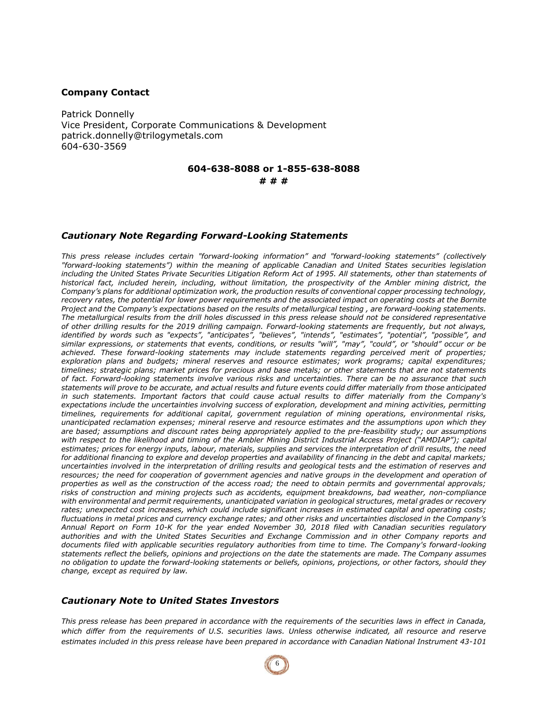#### **Company Contact**

Patrick Donnelly Vice President, Corporate Communications & Development patrick.donnelly@trilogymetals.com 604-630-3569

# **604-638-8088 or 1-855-638-8088**

**# # #**

#### *Cautionary Note Regarding Forward-Looking Statements*

*This press release includes certain "forward-looking information" and "forward-looking statements" (collectively "forward-looking statements") within the meaning of applicable Canadian and United States securities legislation including the United States Private Securities Litigation Reform Act of 1995. All statements, other than statements of historical fact, included herein, including, without limitation, the prospectivity of the Ambler mining district, the Company's plans for additional optimization work, the production results of conventional copper processing technology, recovery rates, the potential for lower power requirements and the associated impact on operating costs at the Bornite Project and the Company's expectations based on the results of metallurgical testing , are forward-looking statements. The metallurgical results from the drill holes discussed in this press release should not be considered representative of other drilling results for the 2019 drilling campaign. Forward-looking statements are frequently, but not always, identified by words such as "expects", "anticipates", "believes", "intends", "estimates", "potential", "possible", and similar expressions, or statements that events, conditions, or results "will", "may", "could", or "should" occur or be achieved. These forward-looking statements may include statements regarding perceived merit of properties; exploration plans and budgets; mineral reserves and resource estimates; work programs; capital expenditures; timelines; strategic plans; market prices for precious and base metals; or other statements that are not statements of fact. Forward-looking statements involve various risks and uncertainties. There can be no assurance that such statements will prove to be accurate, and actual results and future events could differ materially from those anticipated in such statements. Important factors that could cause actual results to differ materially from the Company's expectations include the uncertainties involving success of exploration, development and mining activities, permitting timelines, requirements for additional capital, government regulation of mining operations, environmental risks, unanticipated reclamation expenses; mineral reserve and resource estimates and the assumptions upon which they are based; assumptions and discount rates being appropriately applied to the pre-feasibility study; our assumptions with respect to the likelihood and timing of the Ambler Mining District Industrial Access Project ("AMDIAP"); capital estimates; prices for energy inputs, labour, materials, supplies and services the interpretation of drill results, the need for additional financing to explore and develop properties and availability of financing in the debt and capital markets; uncertainties involved in the interpretation of drilling results and geological tests and the estimation of reserves and*  resources; the need for cooperation of government agencies and native groups in the development and operation of *properties as well as the construction of the access road; the need to obtain permits and governmental approvals; risks of construction and mining projects such as accidents, equipment breakdowns, bad weather, non-compliance with environmental and permit requirements, unanticipated variation in geological structures, metal grades or recovery rates; unexpected cost increases, which could include significant increases in estimated capital and operating costs; fluctuations in metal prices and currency exchange rates; and other risks and uncertainties disclosed in the Company's Annual Report on Form 10-K for the year ended November 30, 2018 filed with Canadian securities regulatory authorities and with the United States Securities and Exchange Commission and in other Company reports and documents filed with applicable securities regulatory authorities from time to time. The Company's forward-looking statements reflect the beliefs, opinions and projections on the date the statements are made. The Company assumes no obligation to update the forward-looking statements or beliefs, opinions, projections, or other factors, should they change, except as required by law.*

#### *Cautionary Note to United States Investors*

*This press release has been prepared in accordance with the requirements of the securities laws in effect in Canada, which differ from the requirements of U.S. securities laws. Unless otherwise indicated, all resource and reserve estimates included in this press release have been prepared in accordance with Canadian National Instrument 43-101* 

 $(6)$